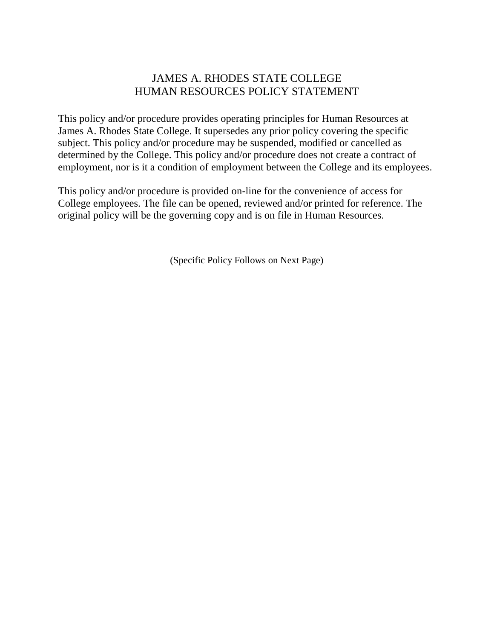# JAMES A. RHODES STATE COLLEGE HUMAN RESOURCES POLICY STATEMENT

This policy and/or procedure provides operating principles for Human Resources at James A. Rhodes State College. It supersedes any prior policy covering the specific subject. This policy and/or procedure may be suspended, modified or cancelled as determined by the College. This policy and/or procedure does not create a contract of employment, nor is it a condition of employment between the College and its employees.

This policy and/or procedure is provided on-line for the convenience of access for College employees. The file can be opened, reviewed and/or printed for reference. The original policy will be the governing copy and is on file in Human Resources.

(Specific Policy Follows on Next Page)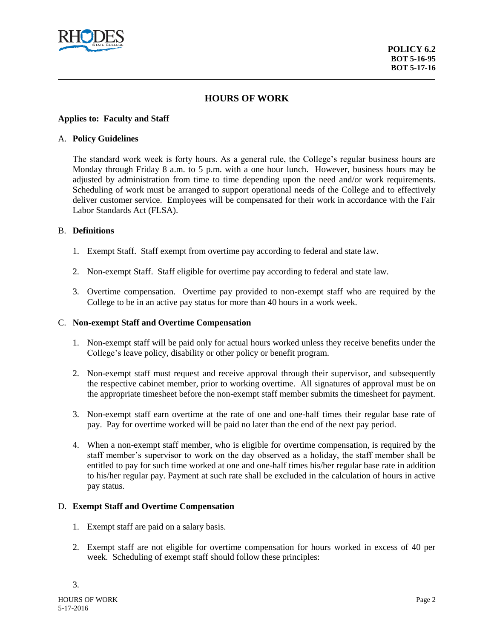

## **HOURS OF WORK**

#### **Applies to: Faculty and Staff**

#### A. **Policy Guidelines**

The standard work week is forty hours. As a general rule, the College's regular business hours are Monday through Friday 8 a.m. to 5 p.m. with a one hour lunch. However, business hours may be adjusted by administration from time to time depending upon the need and/or work requirements. Scheduling of work must be arranged to support operational needs of the College and to effectively deliver customer service. Employees will be compensated for their work in accordance with the Fair Labor Standards Act (FLSA).

### B. **Definitions**

- 1. Exempt Staff. Staff exempt from overtime pay according to federal and state law.
- 2. Non-exempt Staff. Staff eligible for overtime pay according to federal and state law.
- 3. Overtime compensation. Overtime pay provided to non-exempt staff who are required by the College to be in an active pay status for more than 40 hours in a work week.

#### C. **Non-exempt Staff and Overtime Compensation**

- 1. Non-exempt staff will be paid only for actual hours worked unless they receive benefits under the College's leave policy, disability or other policy or benefit program.
- 2. Non-exempt staff must request and receive approval through their supervisor, and subsequently the respective cabinet member, prior to working overtime. All signatures of approval must be on the appropriate timesheet before the non-exempt staff member submits the timesheet for payment.
- 3. Non-exempt staff earn overtime at the rate of one and one-half times their regular base rate of pay. Pay for overtime worked will be paid no later than the end of the next pay period.
- 4. When a non-exempt staff member, who is eligible for overtime compensation, is required by the staff member's supervisor to work on the day observed as a holiday, the staff member shall be entitled to pay for such time worked at one and one-half times his/her regular base rate in addition to his/her regular pay. Payment at such rate shall be excluded in the calculation of hours in active pay status.

#### D. **Exempt Staff and Overtime Compensation**

- 1. Exempt staff are paid on a salary basis.
- 2. Exempt staff are not eligible for overtime compensation for hours worked in excess of 40 per week. Scheduling of exempt staff should follow these principles: